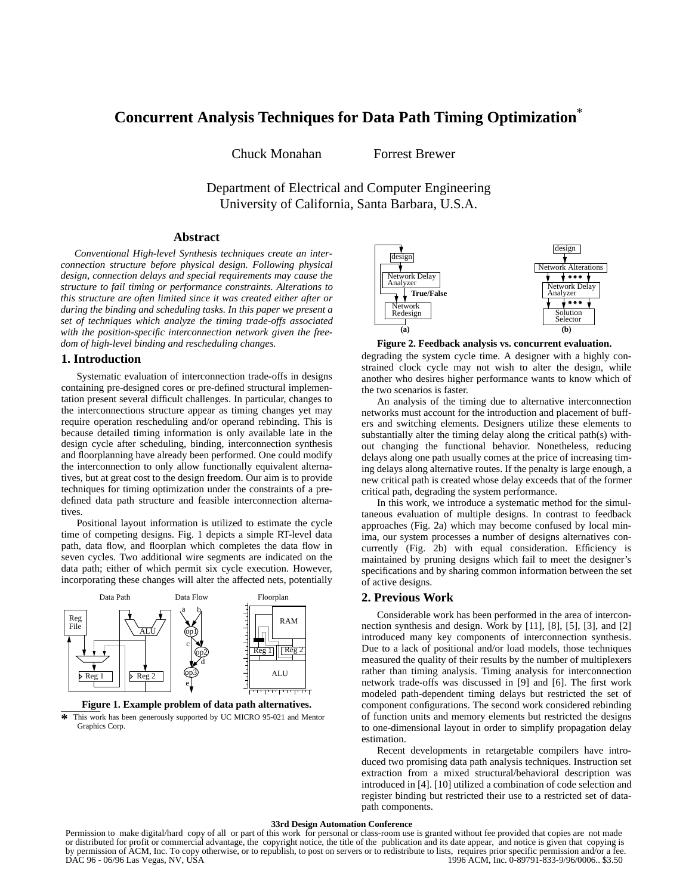# **Concurrent Analysis Techniques for Data Path Timing Optimization**\*

Chuck Monahan Forrest Brewer

Department of Electrical and Computer Engineering University of California, Santa Barbara, U.S.A.

#### **Abstract**

*Conventional High-level Synthesis techniques create an interconnection structure before physical design. Following physical design, connection delays and special requirements may cause the structure to fail timing or performance constraints. Alterations to this structure are often limited since it was created either after or during the binding and scheduling tasks. In this paper we present a set of techniques which analyze the timing trade-offs associated with the position-specific interconnection network given the freedom of high-level binding and rescheduling changes.*

#### **1. Introduction**

Systematic evaluation of interconnection trade-offs in designs containing pre-designed cores or pre-defined structural implementation present several difficult challenges. In particular, changes to the interconnections structure appear as timing changes yet may require operation rescheduling and/or operand rebinding. This is because detailed timing information is only available late in the design cycle after scheduling, binding, interconnection synthesis and floorplanning have already been performed. One could modify the interconnection to only allow functionally equivalent alternatives, but at great cost to the design freedom. Our aim is to provide techniques for timing optimization under the constraints of a predefined data path structure and feasible interconnection alternatives.

Positional layout information is utilized to estimate the cycle time of competing designs. Fig. 1 depicts a simple RT-level data path, data flow, and floorplan which completes the data flow in seven cycles. Two additional wire segments are indicated on the data path; either of which permit six cycle execution. However, incorporating these changes will alter the affected nets, potentially



**Figure 1. Example problem of data path alternatives.** 

**\*** This work has been generously supported by UC MICRO 95-021 and Mentor Graphics Corp.



 **Figure 2. Feedback analysis vs. concurrent evaluation.**

degrading the system cycle time. A designer with a highly constrained clock cycle may not wish to alter the design, while another who desires higher performance wants to know which of the two scenarios is faster.

An analysis of the timing due to alternative interconnection networks must account for the introduction and placement of buffers and switching elements. Designers utilize these elements to substantially alter the timing delay along the critical path(s) without changing the functional behavior. Nonetheless, reducing delays along one path usually comes at the price of increasing timing delays along alternative routes. If the penalty is large enough, a new critical path is created whose delay exceeds that of the former critical path, degrading the system performance.

In this work, we introduce a systematic method for the simultaneous evaluation of multiple designs. In contrast to feedback approaches (Fig. 2a) which may become confused by local minima, our system processes a number of designs alternatives concurrently (Fig. 2b) with equal consideration. Efficiency is maintained by pruning designs which fail to meet the designer's specifications and by sharing common information between the set of active designs.

## **2. Previous Work**

Considerable work has been performed in the area of interconnection synthesis and design. Work by [11], [8], [5], [3], and [2] introduced many key components of interconnection synthesis. Due to a lack of positional and/or load models, those techniques measured the quality of their results by the number of multiplexers rather than timing analysis. Timing analysis for interconnection network trade-offs was discussed in [9] and [6]. The first work modeled path-dependent timing delays but restricted the set of component configurations. The second work considered rebinding of function units and memory elements but restricted the designs to one-dimensional layout in order to simplify propagation delay estimation.

Recent developments in retargetable compilers have introduced two promising data path analysis techniques. Instruction set extraction from a mixed structural/behavioral description was introduced in [4]. [10] utilized a combination of code selection and register binding but restricted their use to a restricted set of datapath components.

#### **33rd Design Automation Conference**

Permission to make digital/hard copy of all or part of this work for personal or class-room use is granted without fee provided that copies are not made or distributed for profit or commercial advantage, the copyright notice, the title of the publication and its date appear, and notice is given that copying is by permission of ACM, Inc. To copy otherwise, or to republish, to post on servers or to redistribute to lists, requires prior specific permission and/or a fee. DAC 96 - 06/96 Las Vegas, NV, USA 1996 ACM, Inc. 0-89791-833-9/96/0006.. \$3.50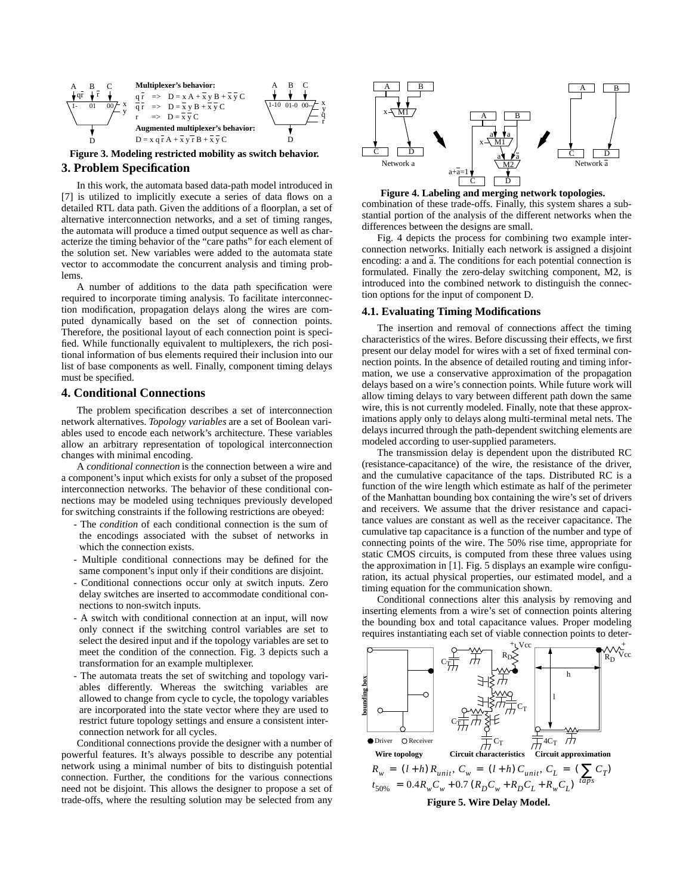

 **Figure 3. Modeling restricted mobility as switch behavior.**

## **3. Problem Specification**

In this work, the automata based data-path model introduced in [7] is utilized to implicitly execute a series of data flows on a detailed RTL data path. Given the additions of a floorplan, a set of alternative interconnection networks, and a set of timing ranges, the automata will produce a timed output sequence as well as characterize the timing behavior of the "care paths" for each element of the solution set. New variables were added to the automata state vector to accommodate the concurrent analysis and timing problems.

A number of additions to the data path specification were required to incorporate timing analysis. To facilitate interconnection modification, propagation delays along the wires are computed dynamically based on the set of connection points. Therefore, the positional layout of each connection point is specified. While functionally equivalent to multiplexers, the rich positional information of bus elements required their inclusion into our list of base components as well. Finally, component timing delays must be specified.

#### **4. Conditional Connections**

The problem specification describes a set of interconnection network alternatives. *Topology variables* are a set of Boolean variables used to encode each network's architecture. These variables allow an arbitrary representation of topological interconnection changes with minimal encoding.

A *conditional connection* is the connection between a wire and a component's input which exists for only a subset of the proposed interconnection networks. The behavior of these conditional connections may be modeled using techniques previously developed for switching constraints if the following restrictions are obeyed:

- The *condition* of each conditional connection is the sum of the encodings associated with the subset of networks in which the connection exists.
- Multiple conditional connections may be defined for the same component's input only if their conditions are disjoint.
- Conditional connections occur only at switch inputs. Zero delay switches are inserted to accommodate conditional connections to non-switch inputs.
- A switch with conditional connection at an input, will now only connect if the switching control variables are set to select the desired input and if the topology variables are set to meet the condition of the connection. Fig. 3 depicts such a transformation for an example multiplexer.
- The automata treats the set of switching and topology variables differently. Whereas the switching variables are allowed to change from cycle to cycle, the topology variables are incorporated into the state vector where they are used to restrict future topology settings and ensure a consistent interconnection network for all cycles.

Conditional connections provide the designer with a number of powerful features. It's always possible to describe any potential network using a minimal number of bits to distinguish potential connection. Further, the conditions for the various connections need not be disjoint. This allows the designer to propose a set of trade-offs, where the resulting solution may be selected from any



 **Figure 4. Labeling and merging network topologies.**

combination of these trade-offs. Finally, this system shares a substantial portion of the analysis of the different networks when the differences between the designs are small.

Fig. 4 depicts the process for combining two example interconnection networks. Initially each network is assigned a disjoint encoding: a and  $\overline{a}$ . The conditions for each potential connection is formulated. Finally the zero-delay switching component, M2, is introduced into the combined network to distinguish the connection options for the input of component D.

#### **4.1. Evaluating Timing Modifications**

The insertion and removal of connections affect the timing characteristics of the wires. Before discussing their effects, we first present our delay model for wires with a set of fixed terminal connection points. In the absence of detailed routing and timing information, we use a conservative approximation of the propagation delays based on a wire's connection points. While future work will allow timing delays to vary between different path down the same wire, this is not currently modeled. Finally, note that these approximations apply only to delays along multi-terminal metal nets. The delays incurred through the path-dependent switching elements are modeled according to user-supplied parameters.

The transmission delay is dependent upon the distributed RC (resistance-capacitance) of the wire, the resistance of the driver, and the cumulative capacitance of the taps. Distributed RC is a function of the wire length which estimate as half of the perimeter of the Manhattan bounding box containing the wire's set of drivers and receivers. We assume that the driver resistance and capacitance values are constant as well as the receiver capacitance. The cumulative tap capacitance is a function of the number and type of connecting points of the wire. The 50% rise time, appropriate for static CMOS circuits, is computed from these three values using the approximation in [1]. Fig. 5 displays an example wire configuration, its actual physical properties, our estimated model, and a timing equation for the communication shown.

Conditional connections alter this analysis by removing and inserting elements from a wire's set of connection points altering the bounding box and total capacitance values. Proper modeling requires instantiating each set of viable connection points to deter-



 **Figure 5. Wire Delay Model.**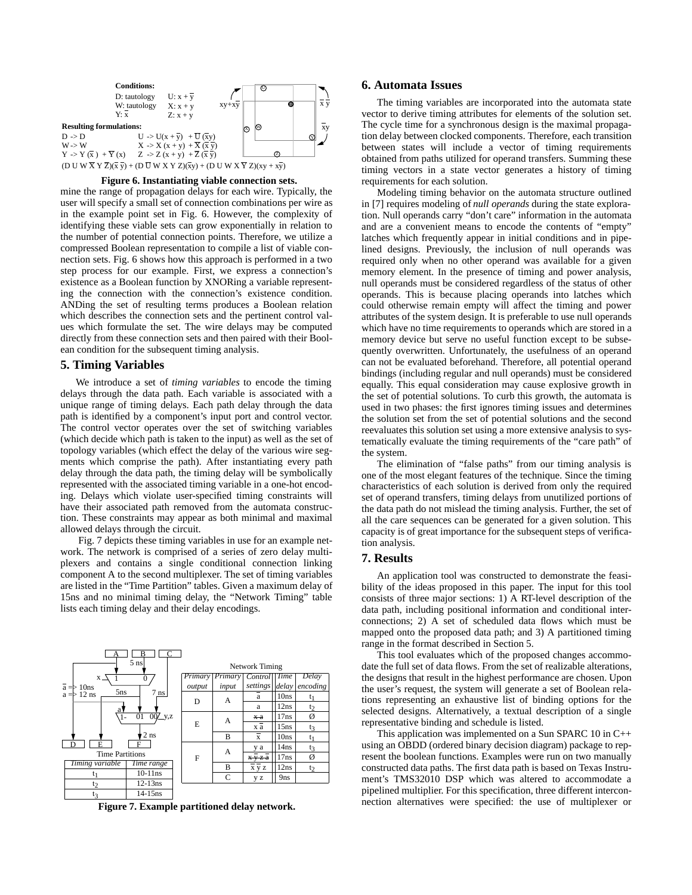

#### **Figure 6. Instantiating viable connection sets.**

mine the range of propagation delays for each wire. Typically, the user will specify a small set of connection combinations per wire as in the example point set in Fig. 6. However, the complexity of identifying these viable sets can grow exponentially in relation to the number of potential connection points. Therefore, we utilize a compressed Boolean representation to compile a list of viable connection sets. Fig. 6 shows how this approach is performed in a two step process for our example. First, we express a connection's existence as a Boolean function by XNORing a variable representing the connection with the connection's existence condition. ANDing the set of resulting terms produces a Boolean relation which describes the connection sets and the pertinent control values which formulate the set. The wire delays may be computed directly from these connection sets and then paired with their Boolean condition for the subsequent timing analysis.

#### **5. Timing Variables**

We introduce a set of *timing variables* to encode the timing delays through the data path. Each variable is associated with a unique range of timing delays. Each path delay through the data path is identified by a component's input port and control vector. The control vector operates over the set of switching variables (which decide which path is taken to the input) as well as the set of topology variables (which effect the delay of the various wire segments which comprise the path). After instantiating every path delay through the data path, the timing delay will be symbolically represented with the associated timing variable in a one-hot encoding. Delays which violate user-specified timing constraints will have their associated path removed from the automata construction. These constraints may appear as both minimal and maximal allowed delays through the circuit.

 Fig. 7 depicts these timing variables in use for an example network. The network is comprised of a series of zero delay multiplexers and contains a single conditional connection linking component A to the second multiplexer. The set of timing variables are listed in the "Time Partition" tables. Given a maximum delay of 15ns and no minimal timing delay, the "Network Timing" table lists each timing delay and their delay encodings.



 **Figure 7. Example partitioned delay network.**

#### **6. Automata Issues**

The timing variables are incorporated into the automata state vector to derive timing attributes for elements of the solution set. The cycle time for a synchronous design is the maximal propagation delay between clocked components. Therefore, each transition between states will include a vector of timing requirements obtained from paths utilized for operand transfers. Summing these timing vectors in a state vector generates a history of timing requirements for each solution.

Modeling timing behavior on the automata structure outlined in [7] requires modeling of *null operands* during the state exploration. Null operands carry "don't care" information in the automata and are a convenient means to encode the contents of "empty" latches which frequently appear in initial conditions and in pipelined designs. Previously, the inclusion of null operands was required only when no other operand was available for a given memory element. In the presence of timing and power analysis, null operands must be considered regardless of the status of other operands. This is because placing operands into latches which could otherwise remain empty will affect the timing and power attributes of the system design. It is preferable to use null operands which have no time requirements to operands which are stored in a memory device but serve no useful function except to be subsequently overwritten. Unfortunately, the usefulness of an operand can not be evaluated beforehand. Therefore, all potential operand bindings (including regular and null operands) must be considered equally. This equal consideration may cause explosive growth in the set of potential solutions. To curb this growth, the automata is used in two phases: the first ignores timing issues and determines the solution set from the set of potential solutions and the second reevaluates this solution set using a more extensive analysis to systematically evaluate the timing requirements of the "care path" of the system.

The elimination of "false paths" from our timing analysis is one of the most elegant features of the technique. Since the timing characteristics of each solution is derived from only the required set of operand transfers, timing delays from unutilized portions of the data path do not mislead the timing analysis. Further, the set of all the care sequences can be generated for a given solution. This capacity is of great importance for the subsequent steps of verification analysis.

## **7. Results**

An application tool was constructed to demonstrate the feasibility of the ideas proposed in this paper. The input for this tool consists of three major sections: 1) A RT-level description of the data path, including positional information and conditional interconnections; 2) A set of scheduled data flows which must be mapped onto the proposed data path; and 3) A partitioned timing range in the format described in Section 5.

This tool evaluates which of the proposed changes accommodate the full set of data flows. From the set of realizable alterations, the designs that result in the highest performance are chosen. Upon the user's request, the system will generate a set of Boolean relations representing an exhaustive list of binding options for the selected designs. Alternatively, a textual description of a single representative binding and schedule is listed.

This application was implemented on a Sun SPARC 10 in C++ using an OBDD (ordered binary decision diagram) package to represent the boolean functions. Examples were run on two manually constructed data paths. The first data path is based on Texas Instrument's TMS32010 DSP which was altered to accommodate a pipelined multiplier. For this specification, three different interconnection alternatives were specified: the use of multiplexer or